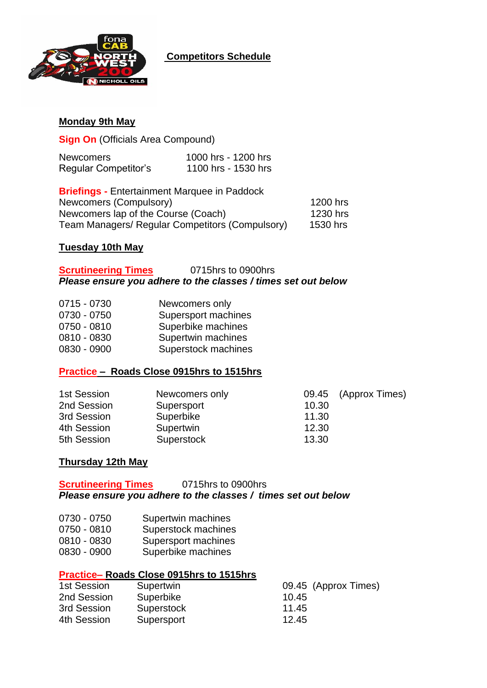

## **Competitors Schedule**

## **Monday 9th May**

**Sign On** (Officials Area Compound)

| <b>Newcomers</b>            | 1000 hrs - 1200 hrs |
|-----------------------------|---------------------|
| <b>Regular Competitor's</b> | 1100 hrs - 1530 hrs |

**Briefings -** Entertainment Marquee in Paddock Newcomers (Compulsory) 1200 hrs Newcomers lap of the Course (Coach) 1230 hrs Team Managers/ Regular Competitors (Compulsory) 1530 hrs

#### **Tuesday 10th May**

## **Scrutineering Times** 0715hrs to 0900hrs *Please ensure you adhere to the classes / times set out below*

| 0715 - 0730 | Newcomers only      |
|-------------|---------------------|
| 0730 - 0750 | Supersport machines |
| 0750 - 0810 | Superbike machines  |
| 0810 - 0830 | Supertwin machines  |
| 0830 - 0900 | Superstock machines |

## **Practice – Roads Close 0915hrs to 1515hrs**

| 1st Session | Newcomers only |       | 09.45 (Approx Times) |
|-------------|----------------|-------|----------------------|
| 2nd Session | Supersport     | 10.30 |                      |
| 3rd Session | Superbike      | 11.30 |                      |
| 4th Session | Supertwin      | 12.30 |                      |
| 5th Session | Superstock     | 13.30 |                      |

## **Thursday 12th May**

**Scrutineering Times** 0715hrs to 0900hrs *Please ensure you adhere to the classes / times set out below*

- 0730 0750 Supertwin machines
- 0750 0810 Superstock machines
- 0810 0830 Supersport machines
- 0830 0900 Superbike machines

## **Practice– Roads Close 0915hrs to 1515hrs**

| 1st Session | Supertwin  | 09.45 (Approx Times) |
|-------------|------------|----------------------|
| 2nd Session | Superbike  | 10.45                |
| 3rd Session | Superstock | 11.45                |
| 4th Session | Supersport | 12.45                |